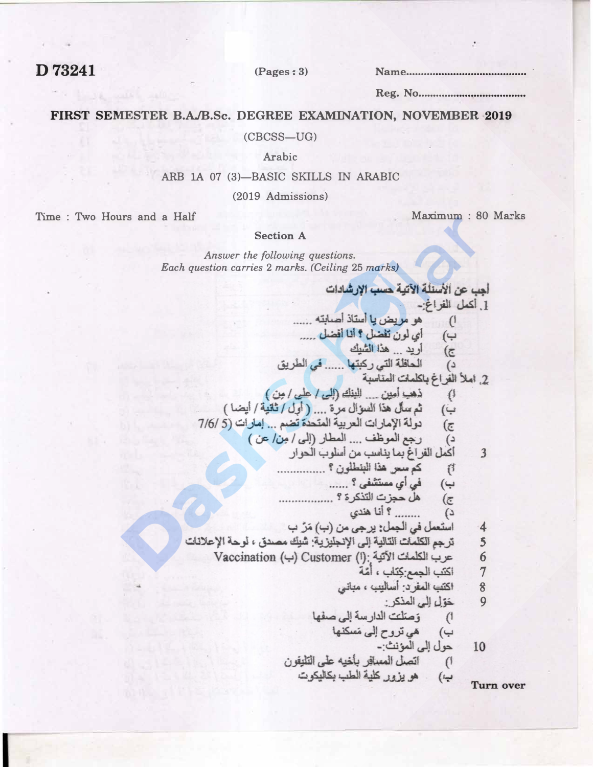D73241

 $(Pages: 3)$ 

#### FIRST SEMESTER B.A./B.Sc. DEGREE EXAMINATION, NOVEMBER 2019

 $(CBCSS-UG)$ 

Arabic

### ARB 1A 07 (3)-BASIC SKILLS IN ARABIC

(2019 Admissions)

Time: Two Hours and a Half

Maximum: 80 Marks

#### **Section A**

Answer the following questions. Each question carries 2 marks. (Ceiling 25 marks)

أجب عن الأسنلة الآتية حسب الإرشادات 1. أكمل الفراغ-هو مريض يا استاذ اصابته ......  $(1)$ أي لون تفضل ؟ أنا أفضل ..... ب) أريد ... هذا الشيك  $\overline{\epsilon}$ الحافلة التي ركبتها ...... في الطريق  $\omega$ 2. املأ الفراغ بالملمات المناسبة ذهب أمين \_ البنك (إلى / على / مِن )  $\{\downarrow$ ثم سأل هذا السؤال مرة .... (أول / ثانية / أيضا )  $(\overline{\phantom{a}})$ دولة الإمارات العربية المتحدة تضم ... إمارات (5/6/ 7/6  $(\overline{\epsilon})$ رجع الموظف .... المطار (إلى / مِن / عن )  $\epsilon$ أكمل القر اغ بما يناسب من أسلوب الحوار  $\overline{3}$ كم سعر هذا البنطلون ؟ ............... (1 في أي مستشفى ؟ ...... ب) هل حجزت التذكرة ؟ ..................  $\overline{\epsilon}$ ........ ؟ أنا هندي د) استعمل في الجمل: يرجى من (ب) مَرَّ ب  $\cdot$ 4 ترجع الكلمات التالية إلى الإنجليزية: شُبِكَ مصدق ، لوحة الإعلانات 5 عرب الكلمات الآتية : (ا) Customer (ا) حرب الكلمات الآتية 6 اكتب الجمع كِتَاب ، أمَّة  $\overline{7}$ اكتب المغرد: أساليب ، مبانى  $\boldsymbol{8}$ حَوَّلِ إِلَى الْمَذْكَرِ : 9 1) وَصَلَّتَ الدارسة إلى صفها هي تروح إلى مَسكنها حول إلى المؤنث:-10 اتصل المسافر بأخيه على التليفون  $\mathcal{L}$ هو يزور كلية الطب بكاليكوت  $(\rightarrow)$ 

**Turn over**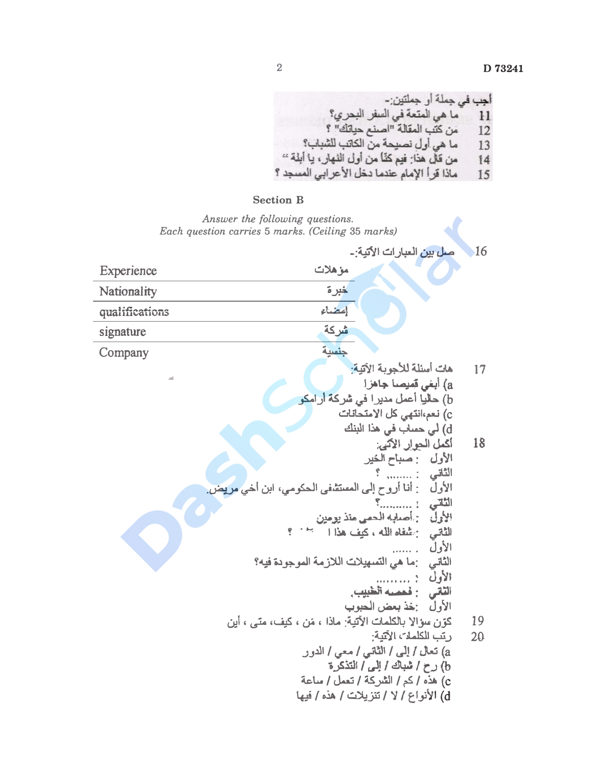أجب في جملة أو جملتين:-<br>11 ما هي المتعة في السفر البحري؟<br>12 من كتب المقالة "اصنع حياتك" ؟ ما هي أول نصيحة من الكاتب للشباب؟ 13 من قال هذا: فيم كنَّا من أول النهار، يا أبلة "  $14$ ماذا قرأ الإمام عندما دخل الأعرابي المسجد ؟ 15

## **Section B**

Answer the following questions. Each question carries 5 marks. (Ceiling 35 marks)

|                | 16<br>صل بين العبارات الأتية:-                                                                                                                         |  |
|----------------|--------------------------------------------------------------------------------------------------------------------------------------------------------|--|
| Experience     | مزهلات                                                                                                                                                 |  |
| Nationality    | خبرة                                                                                                                                                   |  |
| qualifications | إعضاء                                                                                                                                                  |  |
| signature      | شركة                                                                                                                                                   |  |
| Company        | جنسية                                                                                                                                                  |  |
|                | هات أسئلة للأجوبة الآتية:<br>17<br>a) أبغي قميصا جاهز ا<br>b) حلياٍ أعمل مديرا في شركة أرامكو                                                          |  |
|                | c) نعم،انتهى كل الامتحانات<br>d) لي حساب في هذا البنك                                                                                                  |  |
|                | 18<br>أكمل الحوار الآتي:<br>الأول : مساح الخير<br>الثاني :                                                                                             |  |
|                | الأول    : أنا أروح إلى المستشفى الحكومي، ابن أخي مريض.<br>الثاني : ؟<br>الأولّ : أصلهه الحمى منذ يومين<br>الثَّاتي : عُلْقَاه الله ، كيف هذا المسجد ؟ |  |
|                | الأول<br>الثاني :ما هي التسهيلات اللازمة الموجودة فيه؟<br>الأول :<br>الثاني : فعميه الطبيبي                                                            |  |
|                | الأول : خذ بعض الحبوب                                                                                                                                  |  |
|                | كَوْنِ سِؤالاٍ بِالْكِلْمَاتِ الأَتِيةِ: ماذا ، مَن ، كَيْف، متى ، أَيِن<br>19<br>رتب الكلمات الآتية:<br>20                                            |  |
|                | a) تعال / إلى / الثاني / معي / الدور                                                                                                                   |  |
|                | b) رح / شباك / إلى / التذكرة                                                                                                                           |  |
|                | c) هذه / كم / الشركة / تعمل / ساعة<br>d) الأنواع / لا / تنزيلات / هذه / فيها                                                                           |  |